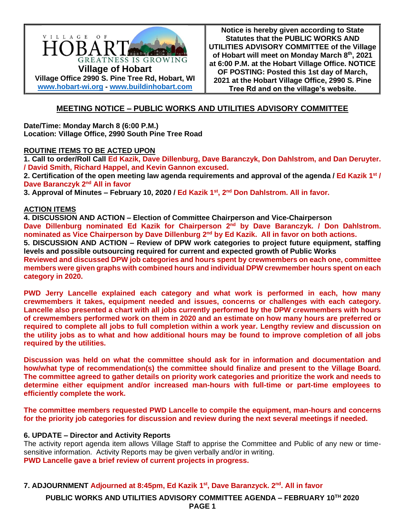

**Notice is hereby given according to State Statutes that the PUBLIC WORKS AND UTILITIES ADVISORY COMMITTEE of the Village of Hobart will meet on Monday March 8th, 2021 at 6:00 P.M. at the Hobart Village Office. NOTICE OF POSTING: Posted this 1st day of March, 2021 at the Hobart Village Office, 2990 S. Pine Tree Rd and on the village's website.**

# **MEETING NOTICE – PUBLIC WORKS AND UTILITIES ADVISORY COMMITTEE**

**Date/Time: Monday March 8 (6:00 P.M.) Location: Village Office, 2990 South Pine Tree Road**

# **ROUTINE ITEMS TO BE ACTED UPON**

**1. Call to order/Roll Call Ed Kazik, Dave Dillenburg, Dave Baranczyk, Don Dahlstrom, and Dan Deruyter. / David Smith, Richard Happel, and Kevin Gannon excused.**

**2. Certification of the open meeting law agenda requirements and approval of the agenda / Ed Kazik 1 st / Dave Baranczyk 2<sup>nd</sup> All in favor** 

**3. Approval of Minutes – February 10, 2020 / Ed Kazik 1 st, 2nd Don Dahlstrom. All in favor.**

### **ACTION ITEMS**

**4. DISCUSSION AND ACTION – Election of Committee Chairperson and Vice-Chairperson**

**Dave Dillenburg nominated Ed Kazik for Chairperson 2nd by Dave Baranczyk. / Don Dahlstrom. nominated as Vice Chairperson by Dave Dillenburg 2<sup>nd</sup> by Ed Kazik. All in favor on both actions.** 

**5. DISCUSSION AND ACTION – Review of DPW work categories to project future equipment, staffing levels and possible outsourcing required for current and expected growth of Public Works Reviewed and discussed DPW job categories and hours spent by crewmembers on each one, committee** 

**members were given graphs with combined hours and individual DPW crewmember hours spent on each category in 2020.**

**PWD Jerry Lancelle explained each category and what work is performed in each, how many crewmembers it takes, equipment needed and issues, concerns or challenges with each category. Lancelle also presented a chart with all jobs currently performed by the DPW crewmembers with hours of crewmembers performed work on them in 2020 and an estimate on how many hours are preferred or required to complete all jobs to full completion within a work year. Lengthy review and discussion on the utility jobs as to what and how additional hours may be found to improve completion of all jobs required by the utilities.**

**Discussion was held on what the committee should ask for in information and documentation and how/what type of recommendation(s) the committee should finalize and present to the Village Board. The committee agreed to gather details on priority work categories and prioritize the work and needs to determine either equipment and/or increased man-hours with full-time or part-time employees to efficiently complete the work.** 

**The committee members requested PWD Lancelle to compile the equipment, man-hours and concerns for the priority job categories for discussion and review during the next several meetings if needed.**

# **6. UPDATE – Director and Activity Reports**

The activity report agenda item allows Village Staff to apprise the Committee and Public of any new or timesensitive information. Activity Reports may be given verbally and/or in writing. **PWD Lancelle gave a brief review of current projects in progress.**

# **7. ADJOURNMENT Adjourned at 8:45pm, Ed Kazik 1 st, Dave Baranzyck. 2nd . All in favor**

**PUBLIC WORKS AND UTILITIES ADVISORY COMMITTEE AGENDA – FEBRUARY 10TH 2020 PAGE 1**